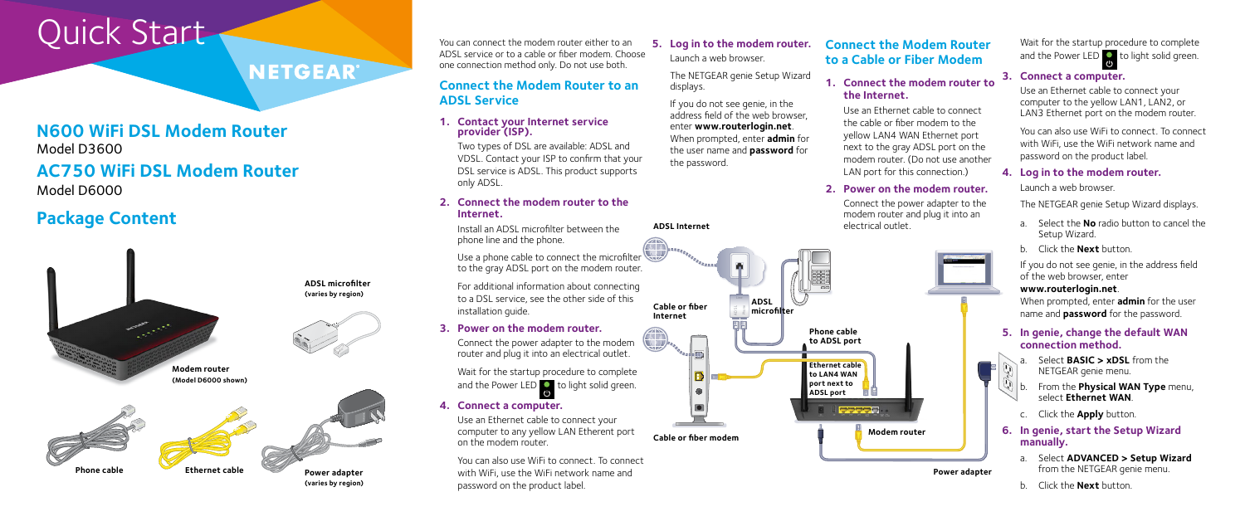# Quick Start

### **NETGEAR®**

#### **N600 WiFi DSL Modem Router** Model D3600

### **AC750 WiFi DSL Modem Router** Model D6000

### **Package Content**

You can connect the modem router either to an ADSL service or to a cable or fiber modem. Choose one connection method only. Do not use both.

#### **Connect the Modem Router to an ADSL Service**

#### **1. Contact your Internet service provider (ISP).**

Use a phone cable to connect the microfilter to the gray ADSL port on the modem router.

Two types of DSL are available: ADSL and VDSL. Contact your ISP to confirm that your DSL service is ADSL. This product supports only ADSL.

Wait for the startup procedure to complete and the Power LED  $\bigcirc$  to light solid green.

#### **2. Connect the modem router to the Internet.**

Install an ADSL microfilter between the phone line and the phone.

For additional information about connecting to a DSL service, see the other side of this installation guide.

Wait for the startup procedure to complete and the Power LED  $\overline{c}$  to light solid green.

#### **3. Power on the modem router.**

Connect the power adapter to the modem router and plug it into an electrical outlet.

**4. Connect a computer.**

Use an Ethernet cable to connect your computer to any yellow LAN Etherent port on the modem router.

You can also use WiFi to connect. To connect with WiFi, use the WiFi network name and password on the product label.

- Select **BASIC > xDSL** from the NETGEAR genie menu.
- b. From the **Physical WAN Type** menu, select **Ethernet WAN**.
- c. Click the **Apply** button.

### **5. Log in to the modem router.**

Launch a web browser.

The NETGEAR genie Setup Wizard displays.



If you do not see genie, in the address field of the web browser, enter **www.routerlogin.net**. When prompted, enter **admin** for the user name and **password** for the password.

#### **3. Connect a computer.**

Use an Ethernet cable to connect your computer to the yellow LAN1, LAN2, or LAN3 Ethernet port on the modem router.

You can also use WiFi to connect. To connect with WiFi, use the WiFi network name and password on the product label.

#### **4. Log in to the modem router.**

Launch a web browser.

The NETGEAR genie Setup Wizard displays.

- a. Select the **No** radio button to cancel the Setup Wizard.
- b. Click the **Next** button.

If you do not see genie, in the address field of the web browser, enter

#### **www.routerlogin.net**.

When prompted, enter **admin** for the user name and **password** for the password.

#### **5. In genie, change the default WAN connection method.**

#### **6. In genie, start the Setup Wizard manually.**

- a. Select **ADVANCED > Setup Wizard** from the NETGEAR genie menu.
- b. Click the **Next** button.



**ADSL Internet**

#### **Connect the Modem Router to a Cable or Fiber Modem**

#### **1. Connect the modem router to the Internet.**

Use an Ethernet cable to connect the cable or fiber modem to the yellow LAN4 WAN Ethernet port next to the gray ADSL port on the modem router. (Do not use another LAN port for this connection.)

#### **2. Power on the modem router.**

Connect the power adapter to the

modem router and plug it into an electrical outlet.